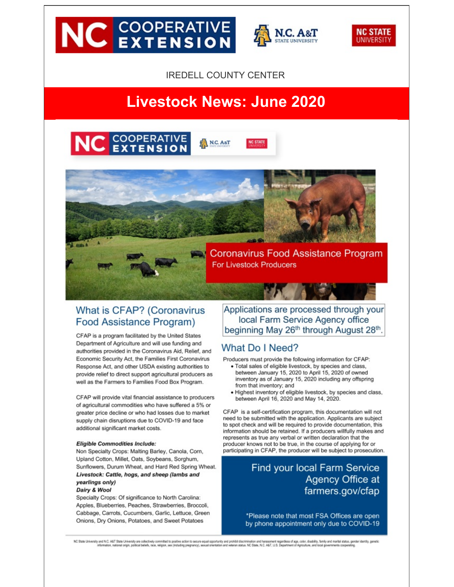# **NC EXTENSION**



**NC STATE** 

**JNIVERSIT** 



# **Livestock News: June 2020**





## What is CFAP? (Coronavirus Food Assistance Program)

CFAP is a program facilitated by the United States Department of Agriculture and will use funding and authorities provided in the Coronavirus Aid, Relief, and Economic Security Act, the Families First Coronavirus Response Act, and other USDA existing authorities to provide relief to direct support agricultural producers as well as the Farmers to Families Food Box Program.

CFAP will provide vital financial assistance to producers of agricultural commodities who have suffered a 5% or greater price decline or who had losses due to market supply chain disruptions due to COVID-19 and face additional significant market costs.

#### **Eligible Commodities Include:**

Non Specialty Crops: Malting Barley, Canola, Corn, Upland Cotton, Millet, Oats, Soybeans, Sorghum, Sunflowers, Durum Wheat, and Hard Red Spring Wheat. Livestock: Cattle, hogs, and sheep (lambs and yearlings only)

#### Dairy & Wool

Specialty Crops: Of significance to North Carolina: Apples, Blueberries, Peaches, Strawberries, Broccoli, Cabbage, Carrots, Cucumbers, Garlic, Lettuce, Green Onions, Dry Onions, Potatoes, and Sweet Potatoes

Applications are processed through your local Farm Service Agency office beginning May 26th through August 28th.

## What Do I Need?

**For Livestock Producers** 

Producers must provide the following information for CFAP:

- · Total sales of eligible livestock, by species and class, between January 15, 2020 to April 15, 2020 of owned inventory as of January 15, 2020 including any offspring from that inventory; and
- · Highest inventory of eligible livestock, by species and class, between April 16, 2020 and May 14, 2020.

CFAP is a self-certification program, this documentation will not need to be submitted with the application. Applicants are subject to spot check and will be required to provide documentation, this information should be retained. If a producers willfully makes and represents as true any verbal or written declaration that the producer knows not to be true, in the course of applying for or participating in CFAP, the producer will be subject to prosecution.

## Find your local Farm Service Agency Office at farmers.gov/cfap

\*Please note that most FSA Offices are open by phone appointment only due to COVID-19

NC State University and N.C. A&T State University are collectively committed to positive action to secure equal opportunity and probibilidecrimination and infarassment regardess of age, color, disability, family, family, a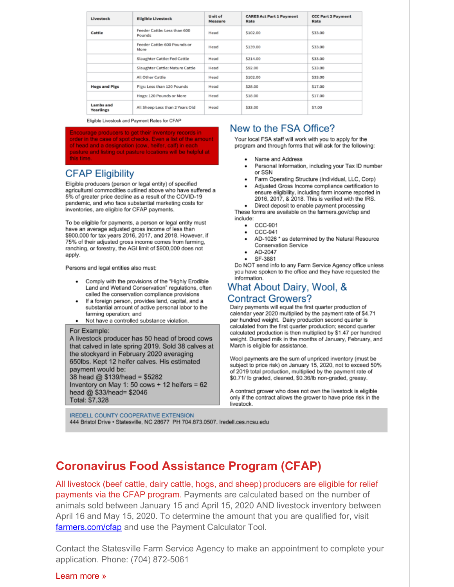| Livestock                     | <b>Eligible Livestock</b>              | <b>Unit of</b><br>Measure | <b>CARES Act Part 1 Payment</b><br>Rate | <b>CCC Part 2 Payment</b><br>Rate |
|-------------------------------|----------------------------------------|---------------------------|-----------------------------------------|-----------------------------------|
| Cattle                        | Feeder Cattle: Less than 600<br>Pounds | Head                      | \$102.00                                | \$33.00                           |
|                               | Feeder Cattle: 600 Pounds or<br>More   | Head                      | \$139.00                                | \$33.00                           |
|                               | Slaughter Cattle: Fed Cattle           | Head                      | \$214.00                                | \$33.00                           |
|                               | Slaughter Cattle: Mature Cattle        | Head                      | \$92.00                                 | \$33.00                           |
|                               | All Other Cattle                       | Head                      | \$102.00                                | \$33.00                           |
| <b>Hogs and Pigs</b>          | Pigs: Less than 120 Pounds             | Head                      | \$28.00                                 | \$17.00                           |
|                               | Hogs: 120 Pounds or More               | Head                      | \$18.00                                 | \$17.00                           |
| Lambs and<br><b>Yearlings</b> | All Sheep Less than 2 Years Old        | Head                      | \$33.00                                 | \$7.00                            |

Eligible Livestock and Payment Rates for CFAP

Encourage producers to get their inventory records in order in the case of spot checks. Even a list of the amount of head and a designation (cow, heifer, calf) in each pasture and listing out pasture locations will be helpful at this time.

## **CFAP Eligibility**

Eligible producers (person or legal entity) of specified agricultural commodities outlined above who have suffered a 5% of greater price decline as a result of the COVID-19 pandemic, and who face substantial marketing costs for inventories, are eligible for CFAP payments.

To be eligible for payments, a person or legal entity must have an average adjusted gross income of less than \$900,000 for tax years 2016, 2017, and 2018. However, if 75% of their adjusted gross income comes from farming, ranching, or forestry, the AGI limit of \$900,000 does not apply.

Persons and legal entities also must:

- Comply with the provisions of the "Highly Erodible Land and Wetland Conservation" regulations, often called the conservation compliance provisions
- If a foreign person, provides land, capital, and a substantial amount of active personal labor to the farming operation: and
- Not have a controlled substance violation.

#### For Example:

A livestock producer has 50 head of brood cows that calved in late spring 2019. Sold 38 calves at the stockyard in February 2020 averaging 650lbs. Kept 12 heifer calves. His estimated payment would be: 38 head @ \$139/head = \$5282 Inventory on May 1: 50 cows + 12 heifers =  $62$ head @ \$33/head= \$2046 Total: \$7,328

**IREDELL COUNTY COOPERATIVE EXTENSION** 444 Bristol Drive . Statesville, NC 28677 PH 704.873.0507. Iredell.ces.ncsu.edu

## New to the FSA Office?

Your local FSA staff will work with you to apply for the program and through forms that will ask for the following:

- Name and Address
- $\ddot{\phantom{0}}$ Personal Information, including your Tax ID number or SSN
- Farm Operating Structure (Individual, LLC, Corp)
- Adjusted Gross Income compliance certification to ensure eligibility, including farm income reported in 2016, 2017, & 2018. This is verified with the IRS.
- Direct deposit to enable payment processing These forms are available on the farmers.gov/cfap and
- include:
	- $\bullet$  CCC-901
	- $CCC-941$
	- AD-1026 \* as determined by the Natural Resource Conservation Service
	- $AD-2047$
	- SF-3881

Do NOT send info to any Farm Service Agency office unless you have spoken to the office and they have requested the information.

## What About Dairy, Wool, & **Contract Growers?**

Dairy payments will equal the first quarter production of calendar year 2020 multiplied by the payment rate of \$4.71 per hundred weight. Dairy production second quarter is calculated from the first quarter production; second quarter calculated production is then multiplied by \$1.47 per hundred weight. Dumped milk in the months of January, February, and March is eligible for assistance.

Wool payments are the sum of unpriced inventory (must be subject to price risk) on January 15, 2020, not to exceed 50% of 2019 total production, multiplied by the payment rate of \$0.71/ lb graded, cleaned, \$0.36/lb non-graded, greasy.

A contract grower who does not own the livestock is eligible only if the contract allows the grower to have price risk in the livestock.

## **Coronavirus Food Assistance Program (CFAP)**

All livestock (beef cattle, dairy cattle, hogs, and sheep) producers are eligible for relief payments via the CFAP program. Payments are calculated based on the number of animals sold between January 15 and April 15, 2020 AND livestock inventory between April 16 and May 15, 2020. To determine the amount that you are qualified for, visit farmers.com/cfap and use the Payment Calculator Tool.

Contact the Statesville Farm Service Agency to make an appointment to complete your application. Phone: (704) 872-5061

#### Learn more »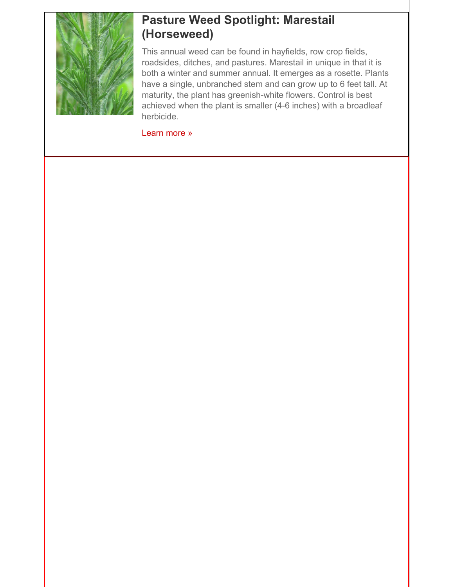

# **Pasture Weed Spotlight: Marestail (Horseweed)**

This annual weed can be found in hayfields, row crop fields, roadsides, ditches, and pastures. Marestail in unique in that it is both a winter and summer annual. It emerges as a rosette. Plants have a single, unbranched stem and can grow up to 6 feet tall. At maturity, the plant has greenish-white flowers. Control is best achieved when the plant is smaller (4-6 inches) with a broadleaf herbicide.

[Learn](http://r20.rs6.net/tn.jsp?f=001DF86R5VAsqzGZR5VMn7Atdwz7GIt7-8bG2KTUnI0IyNlSKxiOQlAMA9LjWBTOYnhlb86S4eQsWIgMxP9u5oCC50obP-1CcgB1HrhNWo-2EGGLNtrbe-lrQqURwDAXwllOZpe_3FaCM2bGX97Q6iHJjQrSs3HmoK9brmi666cDMXREVcmr_zMJEXjzWOLFTP6jBOpRYf6EKUwg6a14P_-5pddykS5K05N&c=&ch=) more »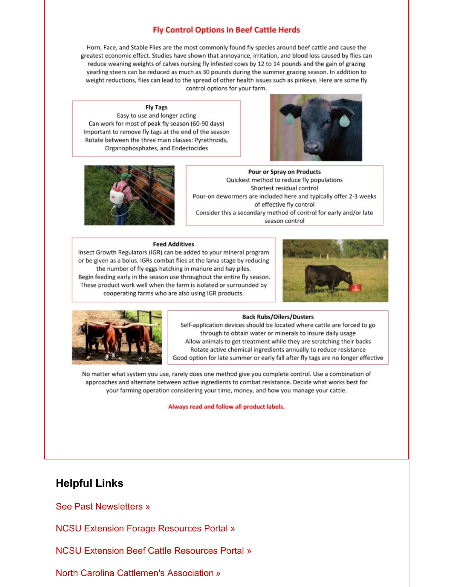### **Fly Control Options in Beef Cattle Herds**

Horn, Face, and Stable Flies are the most commonly found fly species around beef cattle and cause the greatest economic effect. Studies have shown that annoyance, irritation, and blood loss caused by flies can reduce weaning weights of calves nursing fly infested cows by 12 to 14 pounds and the gain of grazing yearling steers can be reduced as much as 30 pounds during the summer grazing season. In addition to weight reductions, flies can lead to the spread of other health issues such as pinkeye. Here are some fly control options for your farm.

#### **Fly Tags**

Easy to use and longer acting Can work for most of peak fly season (60-90 days) Important to remove fly tags at the end of the season Rotate between the three main classes: Pyrethroids, Organophosphates, and Endectocides





**Pour or Spray on Products** Quickest method to reduce fly populations Shortest residual control Pour-on dewormers are included here and typically offer 2-3 weeks of effective fly control Consider this a secondary method of control for early and/or late season control

#### **Feed Additives**

Insect Growth Regulators (IGR) can be added to your mineral program or be given as a bolus. IGRs combat flies at the larva stage by reducing the number of fly eggs hatching in manure and hay piles. Begin feeding early in the season use throughout the entire fly season. These product work well when the farm is isolated or surrounded by cooperating farms who are also using IGR products.





#### **Back Rubs/Oilers/Dusters**

Self-application devices should be located where cattle are forced to go through to obtain water or minerals to insure daily usage Allow animals to get treatment while they are scratching their backs Rotate active chemical ingredients annually to reduce resistance Good option for late summer or early fall after fly tags are no longer effective

No matter what system you use, rarely does one method give you complete control. Use a combination of approaches and alternate between active ingredients to combat resistance. Decide what works best for your farming operation considering your time, money, and how you manage your cattle.

Always read and follow all product labels.

## **Helpful Links**

See Past [Newsletters](http://r20.rs6.net/tn.jsp?f=001DF86R5VAsqzGZR5VMn7Atdwz7GIt7-8bG2KTUnI0IyNlSKxiOQlAMGlhEJmrkhwed06bz6RZtMzmokVnfTFvblWCUJzmcWYmJv-8LTQIREjgqkxduYbQydkrJ0kWmJRDLTQZaiV7EudeJwY5x00-04DIGbkbQAu15OahwEHqSu_V5yCOFZbaFA5Y3ZvAN5ACbVtioAAs0JLhpFtlBZskRUHTGEtIdrTMGgV8qHK8_BI=&c=&ch=) »

NCSU Extension Forage [Resources](http://r20.rs6.net/tn.jsp?f=001DF86R5VAsqzGZR5VMn7Atdwz7GIt7-8bG2KTUnI0IyNlSKxiOQlAMF_gzHs5vljorLGwxrwgN9OyFfOKsfZH2dYCmHf8_h4nFqLQzGjlaj58w0HcW6YB3W16AejX9v7FjOtIudvy8K_Wtjs8OpmFpaWZ-iuze7a40rat4EgKiXj15G3Q8JJKqw==&c=&ch=) Portal »

NCSU Extension Beef Cattle [Resources](http://r20.rs6.net/tn.jsp?f=001DF86R5VAsqzGZR5VMn7Atdwz7GIt7-8bG2KTUnI0IyNlSKxiOQlAMF_gzHs5vljogg_SIHLQwWTET8XWonf9w7eEinWrUw2EPHQi5DcmkDf6-2WWhheaN-Iwh9ZrAaO1mSl76Jp628GkQhtsfCkio3iYj2d51zj-f3RtfaLjqHgwmKkw3ilnvQ==&c=&ch=) Portal »

North Carolina [Cattlemen's](http://r20.rs6.net/tn.jsp?f=001DF86R5VAsqzGZR5VMn7Atdwz7GIt7-8bG2KTUnI0IyNlSKxiOQlAMF_gzHs5vljoDZ6XlM7CRa0zI0GqoDrBVsb-AJCQF76wl5WYR_3Wp1mVO6ptw99Lzk4TUgISPdCGqLhfShVR8QiBGTmZw2OKPx28neaBfwMa4RWykugqGF0=&c=&ch=) Association »